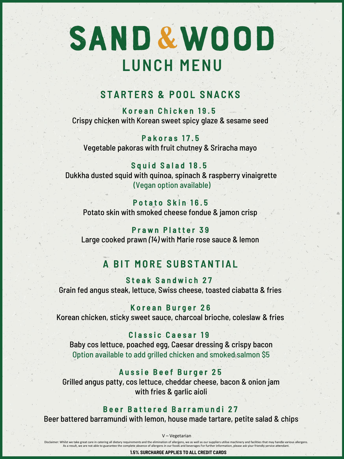# SAND & WOOD **L UN CH M EN U**

# STARTERS & POOL SNACKS

Korean Chicken 19.5 Crispy chicken with Korean sweet spicy glaze & sesame seed

Pakoras 17.5 Vegetable pakoras with fruit chutney & Sriracha mayo

Squid Salad 18.5 Dukkha dusted squid with quinoa, spinach & raspberry vinaigrette (Vegan option available)

## Potato Skin 16.5

Potato skin with smoked cheese fondue & jamon crisp

## Prawn Platter 39

Large cooked prawn *(14)* with Marie rose sauce & lemon

# A BIT MORE SUBSTANTIAL

Steak Sandwich 27 Grain fed angus steak, lettuce, Swiss cheese, toasted ciabatta & fries

## Korean Burger 26

Korean chicken, sticky sweet sauce, charcoal brioche, coleslaw & fries

### Classic Caesar 19

Baby cos lettuce, poached egg, Caesar dressing & crispy bacon Option available to add grilled chicken and smoked salmon \$5

## Aussie Beef Burger 25

Grilled angus patty, cos lettuce, cheddar cheese, bacon & onion jam with fries & garlic aioli

## Beer Battered Barramundi 27

Beer battered barramundi with lemon, house made tartare, petite salad & chips

V – Vegetarian

Disclaimer: Whilst we take great care in catering all dietary requirements and the elimination of allergens, we as well as our suppliers utilise machinery and facilities that may handle various allergens As a result, we are not able to guarantee the complete absence of allergens in our foods and beverages For further information, please ask your friendly service attendant.

**1.5% SURCHARGE APPLIES TO ALL CREDIT CARDS**